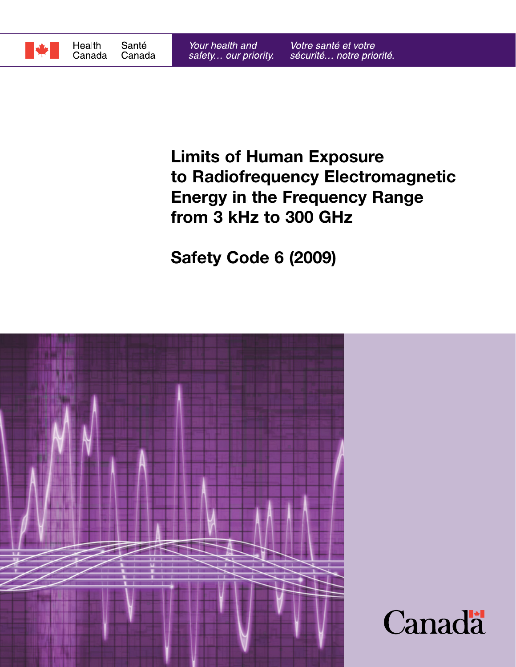

# **Limits of Human Exposure to Radiofrequency Electromagnetic Energy in the Frequency Range from 3 kHz to 300 GHz**

**Safety Code 6 (2009)**



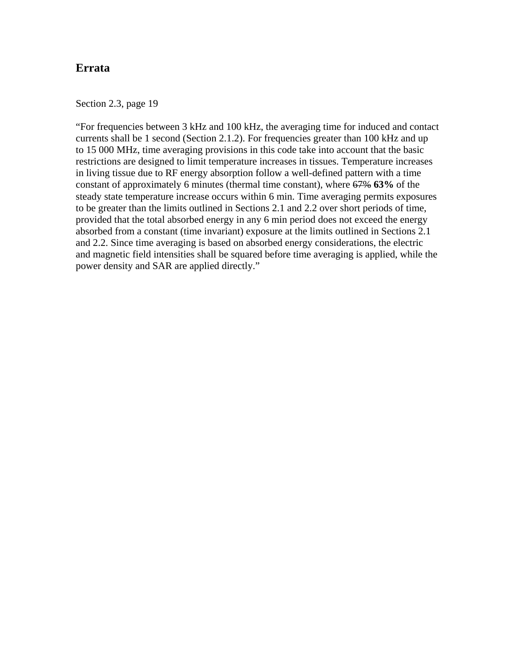#### **Errata**

Section 2.3, page 19

"For frequencies between 3 kHz and 100 kHz, the averaging time for induced and contact currents shall be 1 second (Section 2.1.2). For frequencies greater than 100 kHz and up to 15 000 MHz, time averaging provisions in this code take into account that the basic restrictions are designed to limit temperature increases in tissues. Temperature increases in living tissue due to RF energy absorption follow a well-defined pattern with a time constant of approximately 6 minutes (thermal time constant), where 67% **63%** of the steady state temperature increase occurs within 6 min. Time averaging permits exposures to be greater than the limits outlined in Sections 2.1 and 2.2 over short periods of time, provided that the total absorbed energy in any 6 min period does not exceed the energy absorbed from a constant (time invariant) exposure at the limits outlined in Sections 2.1 and 2.2. Since time averaging is based on absorbed energy considerations, the electric and magnetic field intensities shall be squared before time averaging is applied, while the power density and SAR are applied directly."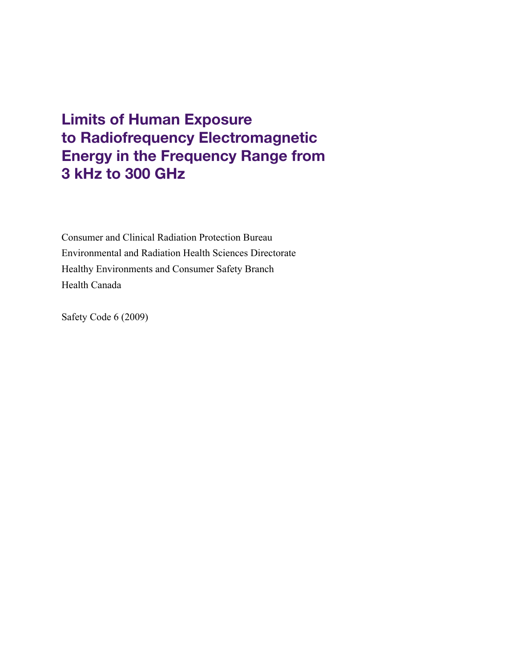## **Limits of Human Exposure to Radiofrequency Electromagnetic Energy in the Frequency Range from 3 kHz to 300 GHz**

Consumer and Clinical Radiation Protection Bureau Environmental and Radiation Health Sciences Directorate Healthy Environments and Consumer Safety Branch Health Canada

Safety Code 6 (2009)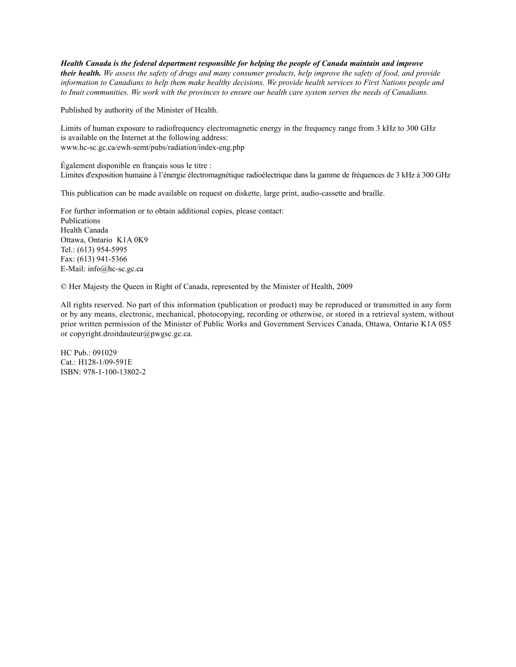*Health Canada is the federal department responsible for helping the people of Canada maintain and improve their health. We assess the safety of drugs and many consumer products, help improve the safety of food, and provide information to Canadians to help them make healthy decisions. We provide health services to First Nations people and to Inuit communities. We work with the provinces to ensure our health care system serves the needs of Canadians.*

Published by authority of the Minister of Health.

Limits of human exposure to radiofrequency electromagnetic energy in the frequency range from 3 kHz to 300 GHz is available on the Internet at the following address: www.hc-sc.gc.ca/ewh-semt/pubs/radiation/index-eng.php

Également disponible en français sous le titre : Limites d'exposition humaine à l'énergie électromagnétique radioélectrique dans la gamme de fréquences de 3 kHz à 300 GHz

This publication can be made available on request on diskette, large print, audio-cassette and braille.

For further information or to obtain additional copies, please contact: Publications Health Canada Ottawa, Ontario K1A 0K9 Tel.: (613) 954-5995 Fax: (613) 941-5366 E-Mail: info@hc-sc.gc.ca

© Her Majesty the Queen in Right of Canada, represented by the Minister of Health, 2009

All rights reserved. No part of this information (publication or product) may be reproduced or transmitted in any form or by any means, electronic, mechanical, photocopying, recording or otherwise, or stored in a retrieval system, without prior written permission of the Minister of Public Works and Government Services Canada, Ottawa, Ontario K1A 0S5 or copyright.droitdauteur@pwgsc.gc.ca.

HC Pub.: 091029 Cat.: H128-1/09-591E ISBN: 978-1-100-13802-2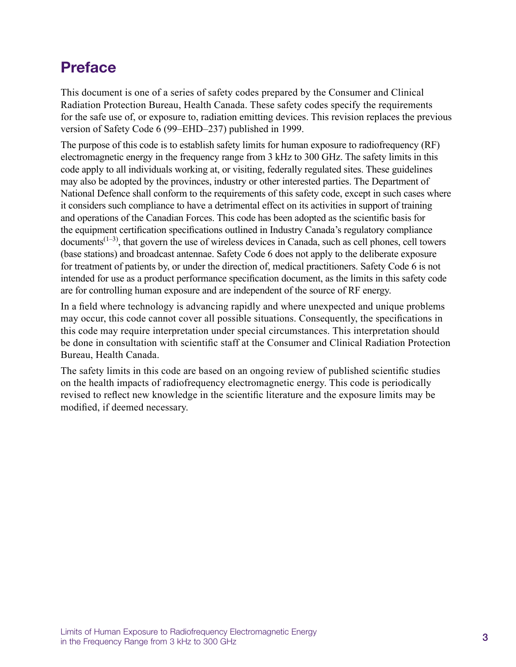### **Preface**

This document is one of a series of safety codes prepared by the Consumer and Clinical Radiation Protection Bureau, Health Canada. These safety codes specify the requirements for the safe use of, or exposure to, radiation emitting devices. This revision replaces the previous version of Safety Code 6 (99–EHD–237) published in 1999.

The purpose of this code is to establish safety limits for human exposure to radiofrequency (RF) electromagnetic energy in the frequency range from 3 kHz to 300 GHz. The safety limits in this code apply to all individuals working at, or visiting, federally regulated sites. These guidelines may also be adopted by the provinces, industry or other interested parties. The Department of National Defence shall conform to the requirements of this safety code, except in such cases where it considers such compliance to have a detrimental effect on its activities in support of training and operations of the Canadian Forces. This code has been adopted as the scientific basis for the equipment certification specifications outlined in Industry Canada's regulatory compliance documents<sup> $(1-3)$ </sup>, that govern the use of wireless devices in Canada, such as cell phones, cell towers (base stations) and broadcast antennae. Safety Code 6 does not apply to the deliberate exposure for treatment of patients by, or under the direction of, medical practitioners. Safety Code 6 is not intended for use as a product performance specification document, as the limits in this safety code are for controlling human exposure and are independent of the source of RF energy.

In a field where technology is advancing rapidly and where unexpected and unique problems may occur, this code cannot cover all possible situations. Consequently, the specifications in this code may require interpretation under special circumstances. This interpretation should be done in consultation with scientific staff at the Consumer and Clinical Radiation Protection Bureau, Health Canada.

The safety limits in this code are based on an ongoing review of published scientific studies on the health impacts of radiofrequency electromagnetic energy. This code is periodically revised to reflect new knowledge in the scientific literature and the exposure limits may be modified, if deemed necessary.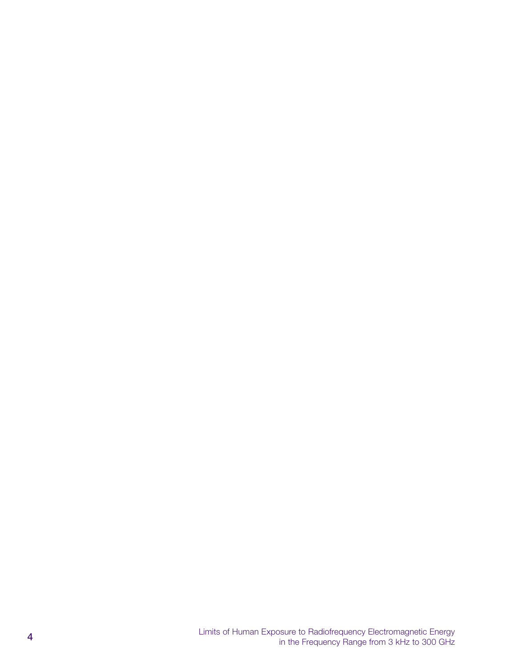Limits of Human Exposure to Radiofrequency Electromagnetic Energy in the Frequency Range from 3 kHz to 300 GHz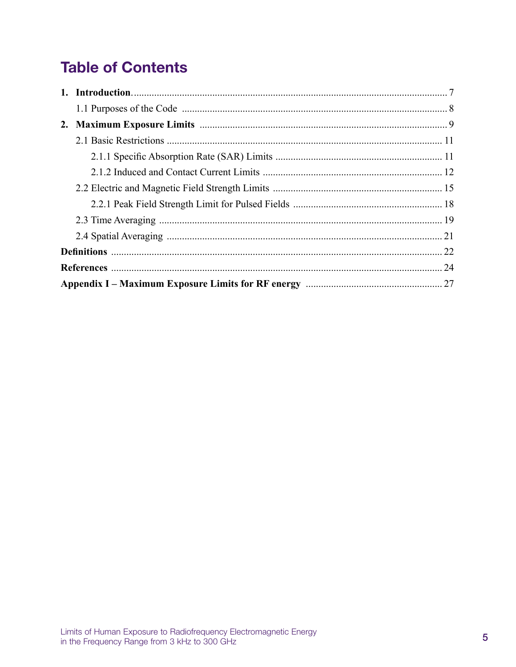# **Table of Contents**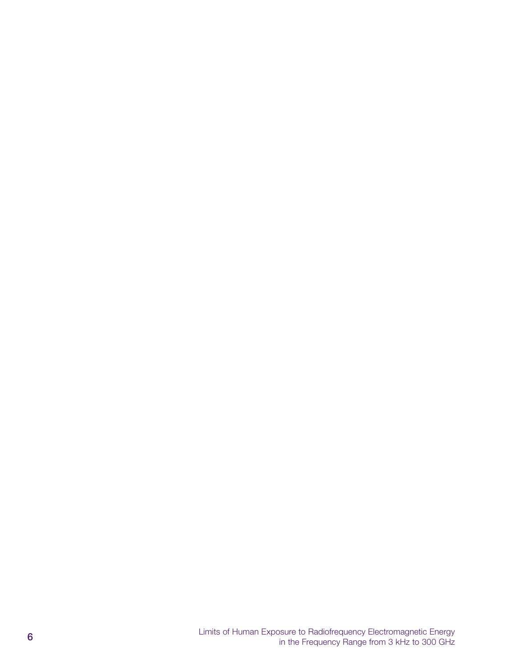Limits of Human Exposure to Radiofrequency Electromagnetic Energy<br>in the Frequency Range from 3 kHz to 300 GHz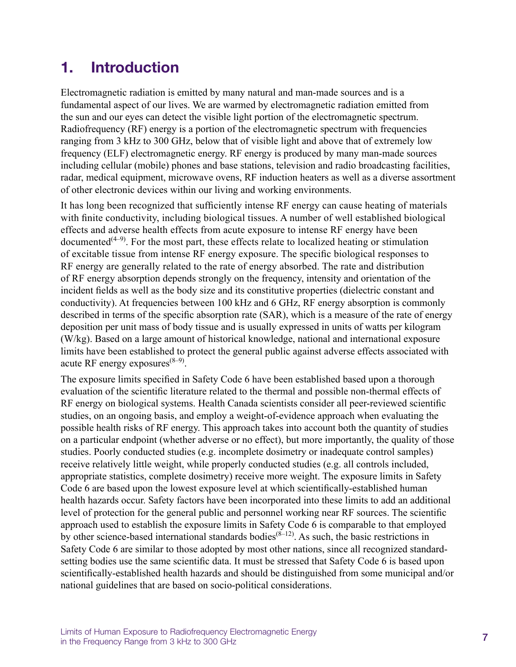## **1. Introduction**

Electromagnetic radiation is emitted by many natural and man-made sources and is a fundamental aspect of our lives. We are warmed by electromagnetic radiation emitted from the sun and our eyes can detect the visible light portion of the electromagnetic spectrum. Radiofrequency (RF) energy is a portion of the electromagnetic spectrum with frequencies ranging from 3 kHz to 300 GHz, below that of visible light and above that of extremely low frequency (ELF) electromagnetic energy. RF energy is produced by many man-made sources including cellular (mobile) phones and base stations, television and radio broadcasting facilities, radar, medical equipment, microwave ovens, RF induction heaters as well as a diverse assortment of other electronic devices within our living and working environments.

It has long been recognized that sufficiently intense RF energy can cause heating of materials with finite conductivity, including biological tissues. A number of well established biological effects and adverse health effects from acute exposure to intense RF energy have been documented<sup> $(4-9)$ </sup>. For the most part, these effects relate to localized heating or stimulation of excitable tissue from intense RF energy exposure. The specific biological responses to RF energy are generally related to the rate of energy absorbed. The rate and distribution of RF energy absorption depends strongly on the frequency, intensity and orientation of the incident fields as well as the body size and its constitutive properties (dielectric constant and conductivity). At frequencies between 100 kHz and 6 GHz, RF energy absorption is commonly described in terms of the specific absorption rate (SAR), which is a measure of the rate of energy deposition per unit mass of body tissue and is usually expressed in units of watts per kilogram (W/kg). Based on a large amount of historical knowledge, national and international exposure limits have been established to protect the general public against adverse effects associated with acute RF energy exposures $(8-9)$ .

The exposure limits specified in Safety Code 6 have been established based upon a thorough evaluation of the scientific literature related to the thermal and possible non-thermal effects of RF energy on biological systems. Health Canada scientists consider all peer-reviewed scientific studies, on an ongoing basis, and employ a weight-of-evidence approach when evaluating the possible health risks of RF energy. This approach takes into account both the quantity of studies on a particular endpoint (whether adverse or no effect), but more importantly, the quality of those studies. Poorly conducted studies (e.g. incomplete dosimetry or inadequate control samples) receive relatively little weight, while properly conducted studies (e.g. all controls included, appropriate statistics, complete dosimetry) receive more weight. The exposure limits in Safety Code 6 are based upon the lowest exposure level at which scientifically-established human health hazards occur. Safety factors have been incorporated into these limits to add an additional level of protection for the general public and personnel working near RF sources. The scientific approach used to establish the exposure limits in Safety Code 6 is comparable to that employed by other science-based international standards bodies<sup>(8–12)</sup>. As such, the basic restrictions in Safety Code 6 are similar to those adopted by most other nations, since all recognized standardsetting bodies use the same scientific data. It must be stressed that Safety Code 6 is based upon scientifically-established health hazards and should be distinguished from some municipal and/or national guidelines that are based on socio-political considerations.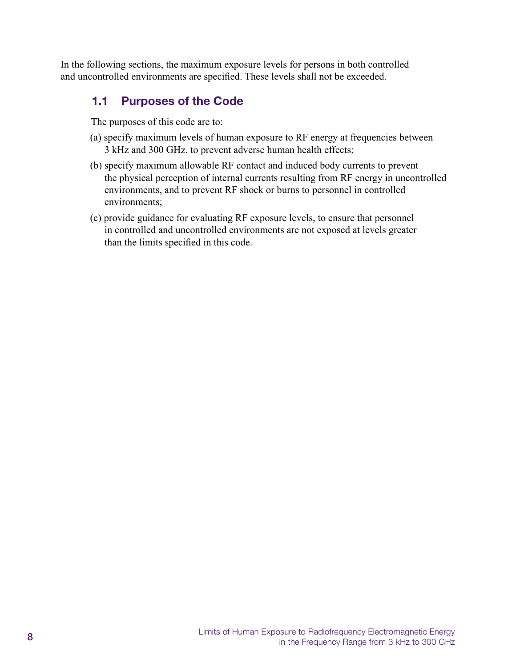In the following sections, the maximum exposure levels for persons in both controlled and uncontrolled environments are specified. These levels shall not be exceeded.

### **1.1 Purposes of the Code**

The purposes of this code are to:

- (a) specify maximum levels of human exposure to RF energy at frequencies between 3 kHz and 300 GHz, to prevent adverse human health effects;
- (b) specify maximum allowable RF contact and induced body currents to prevent the physical perception of internal currents resulting from RF energy in uncontrolled environments, and to prevent RF shock or burns to personnel in controlled environments;
- (c) provide guidance for evaluating RF exposure levels, to ensure that personnel in controlled and uncontrolled environments are not exposed at levels greater than the limits specified in this code.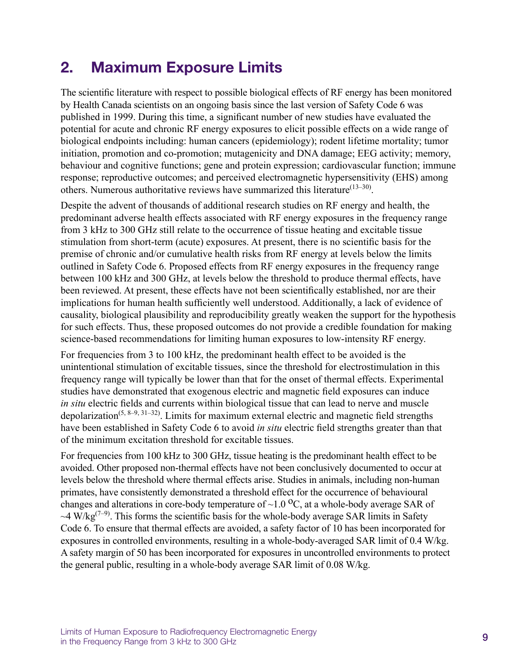## **2. Maximum Exposure Limits**

The scientific literature with respect to possible biological effects of RF energy has been monitored by Health Canada scientists on an ongoing basis since the last version of Safety Code 6 was published in 1999. During this time, a significant number of new studies have evaluated the potential for acute and chronic RF energy exposures to elicit possible effects on a wide range of biological endpoints including: human cancers (epidemiology); rodent lifetime mortality; tumor initiation, promotion and co-promotion; mutagenicity and DNA damage; EEG activity; memory, behaviour and cognitive functions; gene and protein expression; cardiovascular function; immune response; reproductive outcomes; and perceived electromagnetic hypersensitivity (EHS) among others. Numerous authoritative reviews have summarized this literature<sup> $(13-30)$ </sup>.

Despite the advent of thousands of additional research studies on RF energy and health, the predominant adverse health effects associated with RF energy exposures in the frequency range from 3 kHz to 300 GHz still relate to the occurrence of tissue heating and excitable tissue stimulation from short-term (acute) exposures. At present, there is no scientific basis for the premise of chronic and/or cumulative health risks from RF energy at levels below the limits outlined in Safety Code 6. Proposed effects from RF energy exposures in the frequency range between 100 kHz and 300 GHz, at levels below the threshold to produce thermal effects, have been reviewed. At present, these effects have not been scientifically established, nor are their implications for human health sufficiently well understood. Additionally, a lack of evidence of causality, biological plausibility and reproducibility greatly weaken the support for the hypothesis for such effects. Thus, these proposed outcomes do not provide a credible foundation for making science-based recommendations for limiting human exposures to low-intensity RF energy.

For frequencies from 3 to 100 kHz, the predominant health effect to be avoided is the unintentional stimulation of excitable tissues, since the threshold for electrostimulation in this frequency range will typically be lower than that for the onset of thermal effects. Experimental studies have demonstrated that exogenous electric and magnetic field exposures can induce *in situ* electric fields and currents within biological tissue that can lead to nerve and muscle depolarization<sup> $(5, 8-9, 31-32)$ </sup>. Limits for maximum external electric and magnetic field strengths have been established in Safety Code 6 to avoid *in situ* electric field strengths greater than that of the minimum excitation threshold for excitable tissues.

For frequencies from 100 kHz to 300 GHz, tissue heating is the predominant health effect to be avoided. Other proposed non-thermal effects have not been conclusively documented to occur at levels below the threshold where thermal effects arise. Studies in animals, including non-human primates, have consistently demonstrated a threshold effect for the occurrence of behavioural changes and alterations in core-body temperature of  $\sim$ 1.0 <sup>o</sup>C, at a whole-body average SAR of  $\sim$ 4 W/kg<sup>(7–9)</sup>. This forms the scientific basis for the whole-body average SAR limits in Safety Code 6. To ensure that thermal effects are avoided, a safety factor of 10 has been incorporated for exposures in controlled environments, resulting in a whole-body-averaged SAR limit of 0.4 W/kg. A safety margin of 50 has been incorporated for exposures in uncontrolled environments to protect the general public, resulting in a whole-body average SAR limit of 0.08 W/kg.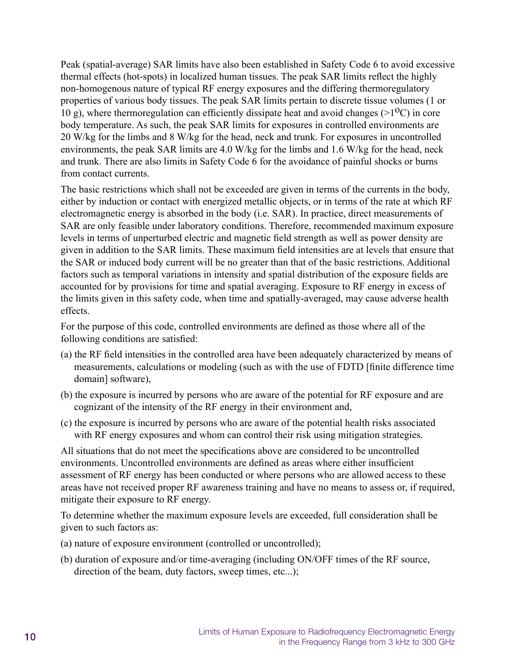Peak (spatial-average) SAR limits have also been established in Safety Code 6 to avoid excessive thermal effects (hot-spots) in localized human tissues. The peak SAR limits reflect the highly non-homogenous nature of typical RF energy exposures and the differing thermoregulatory properties of various body tissues. The peak SAR limits pertain to discrete tissue volumes (1 or 10 g), where thermoregulation can efficiently dissipate heat and avoid changes ( $>1^{0}C$ ) in core body temperature. As such, the peak SAR limits for exposures in controlled environments are 20 W/kg for the limbs and 8 W/kg for the head, neck and trunk. For exposures in uncontrolled environments, the peak SAR limits are 4.0 W/kg for the limbs and 1.6 W/kg for the head, neck and trunk. There are also limits in Safety Code 6 for the avoidance of painful shocks or burns from contact currents.

The basic restrictions which shall not be exceeded are given in terms of the currents in the body, either by induction or contact with energized metallic objects, or in terms of the rate at which RF electromagnetic energy is absorbed in the body (i.e. SAR). In practice, direct measurements of SAR are only feasible under laboratory conditions. Therefore, recommended maximum exposure levels in terms of unperturbed electric and magnetic field strength as well as power density are given in addition to the SAR limits. These maximum field intensities are at levels that ensure that the SAR or induced body current will be no greater than that of the basic restrictions. Additional factors such as temporal variations in intensity and spatial distribution of the exposure fields are accounted for by provisions for time and spatial averaging. Exposure to RF energy in excess of the limits given in this safety code, when time and spatially-averaged, may cause adverse health effects.

For the purpose of this code, controlled environments are defined as those where all of the following conditions are satisfied:

- (a) the RF field intensities in the controlled area have been adequately characterized by means of measurements, calculations or modeling (such as with the use of FDTD [finite difference time domain] software),
- (b) the exposure is incurred by persons who are aware of the potential for RF exposure and are cognizant of the intensity of the RF energy in their environment and,
- (c) the exposure is incurred by persons who are aware of the potential health risks associated with RF energy exposures and whom can control their risk using mitigation strategies.

All situations that do not meet the specifications above are considered to be uncontrolled environments. Uncontrolled environments are defined as areas where either insufficient assessment of RF energy has been conducted or where persons who are allowed access to these areas have not received proper RF awareness training and have no means to assess or, if required, mitigate their exposure to RF energy.

To determine whether the maximum exposure levels are exceeded, full consideration shall be given to such factors as:

- (a) nature of exposure environment (controlled or uncontrolled);
- (b) duration of exposure and/or time-averaging (including ON/OFF times of the RF source, direction of the beam, duty factors, sweep times, etc...);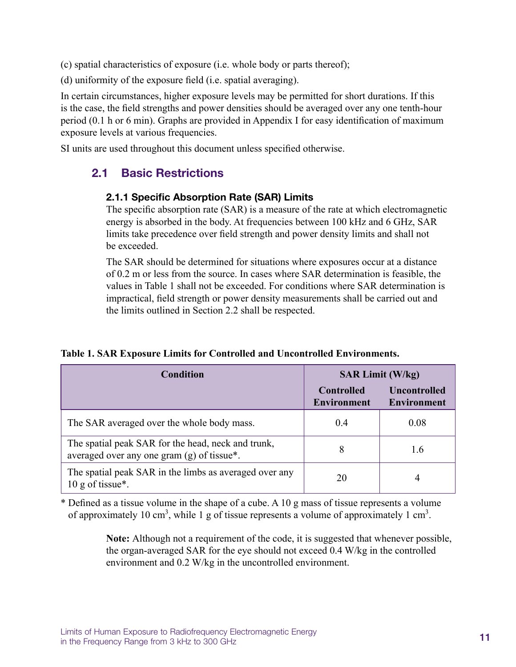(c) spatial characteristics of exposure (i.e. whole body or parts thereof);

(d) uniformity of the exposure field (i.e. spatial averaging).

In certain circumstances, higher exposure levels may be permitted for short durations. If this is the case, the field strengths and power densities should be averaged over any one tenth-hour period (0.1 h or 6 min). Graphs are provided in Appendix I for easy identification of maximum exposure levels at various frequencies.

SI units are used throughout this document unless specified otherwise.

### **2.1 Basic Restrictions**

#### **2.1.1 Specific Absorption Rate (SAR) Limits**

The specific absorption rate (SAR) is a measure of the rate at which electromagnetic energy is absorbed in the body. At frequencies between 100 kHz and 6 GHz, SAR limits take precedence over field strength and power density limits and shall not be exceeded.

The SAR should be determined for situations where exposures occur at a distance of 0.2 m or less from the source. In cases where SAR determination is feasible, the values in Table 1 shall not be exceeded. For conditions where SAR determination is impractical, field strength or power density measurements shall be carried out and the limits outlined in Section 2.2 shall be respected.

|  |  |  | Table 1. SAR Exposure Limits for Controlled and Uncontrolled Environments. |
|--|--|--|----------------------------------------------------------------------------|
|  |  |  |                                                                            |

| <b>Condition</b>                                                                                 |                                         | <b>SAR Limit (W/kg)</b>                   |
|--------------------------------------------------------------------------------------------------|-----------------------------------------|-------------------------------------------|
|                                                                                                  | <b>Controlled</b><br><b>Environment</b> | <b>Uncontrolled</b><br><b>Environment</b> |
| The SAR averaged over the whole body mass.                                                       | 0.4                                     | 0.08                                      |
| The spatial peak SAR for the head, neck and trunk,<br>averaged over any one gram (g) of tissue*. | 8                                       | 1.6                                       |
| The spatial peak SAR in the limbs as averaged over any<br>10 g of tissue $*$ .                   | 20                                      | 4                                         |

\* Defined as a tissue volume in the shape of a cube. A 10 g mass of tissue represents a volume of approximately 10 cm<sup>3</sup>, while 1 g of tissue represents a volume of approximately 1 cm<sup>3</sup>.

> **Note:** Although not a requirement of the code, it is suggested that whenever possible, the organ-averaged SAR for the eye should not exceed 0.4 W/kg in the controlled environment and 0.2 W/kg in the uncontrolled environment.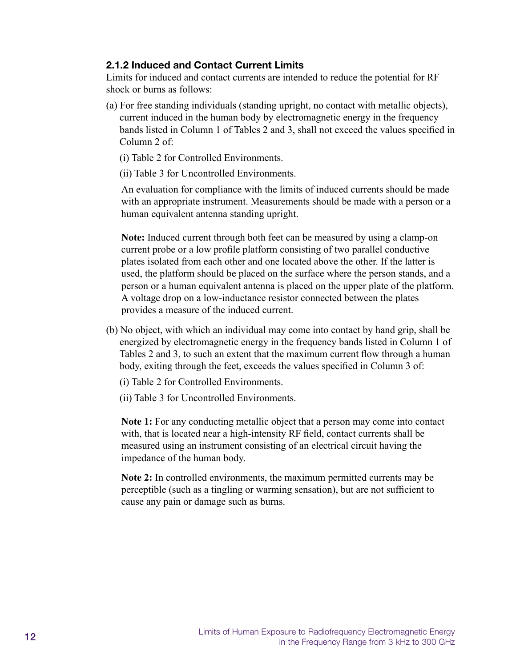#### **2.1.2 Induced and Contact Current Limits**

Limits for induced and contact currents are intended to reduce the potential for RF shock or burns as follows:

- (a) For free standing individuals (standing upright, no contact with metallic objects), current induced in the human body by electromagnetic energy in the frequency bands listed in Column 1 of Tables 2 and 3, shall not exceed the values specified in Column 2 of:
	- (i) Table 2 for Controlled Environments.
	- (ii) Table 3 for Uncontrolled Environments.

An evaluation for compliance with the limits of induced currents should be made with an appropriate instrument. Measurements should be made with a person or a human equivalent antenna standing upright.

**Note:** Induced current through both feet can be measured by using a clamp-on current probe or a low profile platform consisting of two parallel conductive plates isolated from each other and one located above the other. If the latter is used, the platform should be placed on the surface where the person stands, and a person or a human equivalent antenna is placed on the upper plate of the platform. A voltage drop on a low-inductance resistor connected between the plates provides a measure of the induced current.

- (b) No object, with which an individual may come into contact by hand grip, shall be energized by electromagnetic energy in the frequency bands listed in Column 1 of Tables 2 and 3, to such an extent that the maximum current flow through a human body, exiting through the feet, exceeds the values specified in Column 3 of:
	- (i) Table 2 for Controlled Environments.
	- (ii) Table 3 for Uncontrolled Environments.

**Note 1:** For any conducting metallic object that a person may come into contact with, that is located near a high-intensity RF field, contact currents shall be measured using an instrument consisting of an electrical circuit having the impedance of the human body.

**Note 2:** In controlled environments, the maximum permitted currents may be perceptible (such as a tingling or warming sensation), but are not sufficient to cause any pain or damage such as burns.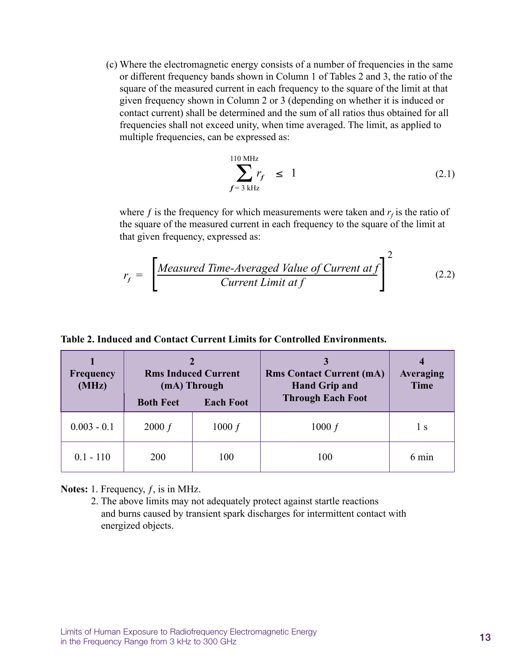(c) Where the electromagnetic energy consists of a number of frequencies in the same or different frequency bands shown in Column 1 of Tables 2 and 3, the ratio of the square of the measured current in each frequency to the square of the limit at that given frequency shown in Column 2 or 3 (depending on whether it is induced or contact current) shall be determined and the sum of all ratios thus obtained for all frequencies shall not exceed unity, when time averaged. The limit, as applied to multiple frequencies, can be expressed as:

$$
\sum_{f=3 \text{ kHz}}^{110 \text{ MHz}} r_f \le 1 \tag{2.1}
$$

where  $f$  is the frequency for which measurements were taken and  $r_f$  is the ratio of the square of the measured current in each frequency to the square of the limit at that given frequency, expressed as:

$$
r_f = \left[\frac{\text{Measured Time-Averaged Value of Current at } f}{\text{Current Limit at } f}\right]^2\tag{2.2}
$$

**Table 2. Induced and Contact Current Limits for Controlled Environments.**

| Frequency<br>(MHz) | <b>Both Feet</b> | <b>Rms Induced Current</b><br>(mA) Through<br><b>Each Foot</b> | <b>Rms Contact Current (mA)</b><br><b>Hand Grip and</b><br><b>Through Each Foot</b> | <b>Averaging</b><br><b>Time</b> |
|--------------------|------------------|----------------------------------------------------------------|-------------------------------------------------------------------------------------|---------------------------------|
| $0.003 - 0.1$      | 2000 f           | 1000 $f$                                                       | 1000 f                                                                              | 1 s                             |
| $0.1 - 110$        | <b>200</b>       | 100                                                            | 100                                                                                 | 6 min                           |

Notes: 1. Frequency, f, is in MHz.

2. The above limits may not adequately protect against startle reactions and burns caused by transient spark discharges for intermittent contact with energized objects.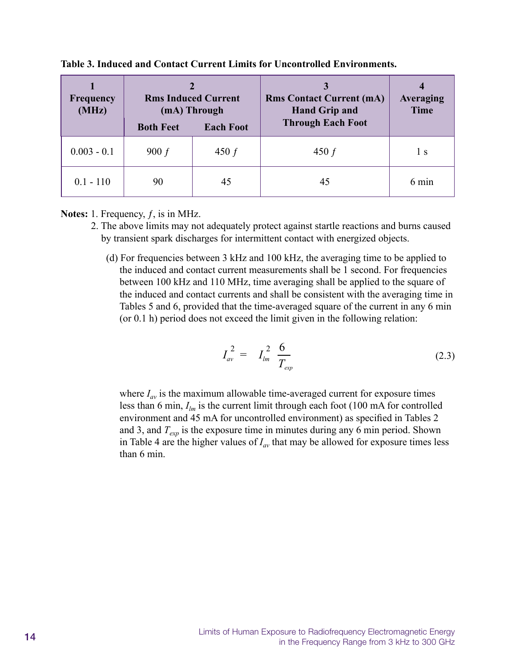| Frequency<br>(MHz) | <b>Rms Induced Current</b><br>(mA) Through<br><b>Each Foot</b><br><b>Both Feet</b> |         | <b>Rms Contact Current (mA)</b><br><b>Hand Grip and</b><br><b>Through Each Foot</b> | 4<br><b>Averaging</b><br><b>Time</b> |
|--------------------|------------------------------------------------------------------------------------|---------|-------------------------------------------------------------------------------------|--------------------------------------|
| $0.003 - 0.1$      | 900 f                                                                              | 450 $f$ | 450 f                                                                               | 1 s                                  |
| $0.1 - 110$        | 90                                                                                 | 45      | 45                                                                                  | $6 \text{ min}$                      |

| Table 3. Induced and Contact Current Limits for Uncontrolled Environments. |  |  |  |  |  |  |  |
|----------------------------------------------------------------------------|--|--|--|--|--|--|--|
|----------------------------------------------------------------------------|--|--|--|--|--|--|--|

Notes: 1. Frequency, f, is in MHz.

- 2. The above limits may not adequately protect against startle reactions and burns caused by transient spark discharges for intermittent contact with energized objects.
	- (d) For frequencies between 3 kHz and 100 kHz, the averaging time to be applied to the induced and contact current measurements shall be 1 second. For frequencies between 100 kHz and 110 MHz, time averaging shall be applied to the square of the induced and contact currents and shall be consistent with the averaging time in Tables 5 and 6, provided that the time-averaged square of the current in any 6 min (or 0.1 h) period does not exceed the limit given in the following relation:

$$
I_{av}^{2} = I_{lm}^{2} \frac{6}{T_{exp}}
$$
 (2.3)

where  $I_{av}$  is the maximum allowable time-averaged current for exposure times less than 6 min, *Ilm* is the current limit through each foot (100 mA for controlled environment and 45 mA for uncontrolled environment) as specified in Tables 2 and 3, and  $T_{exp}$  is the exposure time in minutes during any 6 min period. Shown in Table 4 are the higher values of  $I_{av}$  that may be allowed for exposure times less than 6 min.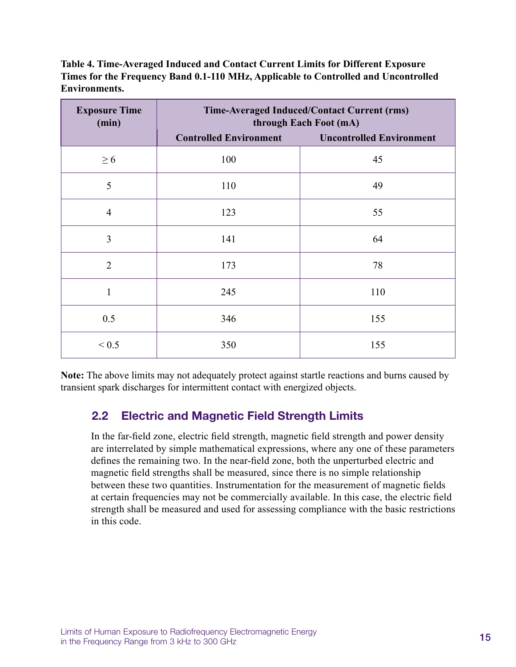**Table 4. Time-Averaged Induced and Contact Current Limits for Different Exposure Times for the Frequency Band 0.1-110 MHz, Applicable to Controlled and Uncontrolled Environments.** 

| <b>Exposure Time</b><br>(min) | Time-Averaged Induced/Contact Current (rms)<br>through Each Foot (mA) |                                 |  |  |
|-------------------------------|-----------------------------------------------------------------------|---------------------------------|--|--|
|                               | <b>Controlled Environment</b>                                         | <b>Uncontrolled Environment</b> |  |  |
| $\geq 6$                      | 100                                                                   | 45                              |  |  |
| 5                             | 110                                                                   | 49                              |  |  |
| $\overline{4}$                | 123                                                                   | 55                              |  |  |
| 3                             | 141                                                                   | 64                              |  |  |
| $\overline{2}$                | 173                                                                   | 78                              |  |  |
| $\mathbf{1}$                  | 245                                                                   | 110                             |  |  |
| 0.5                           | 346                                                                   | 155                             |  |  |
| ${}_{\leq 0.5}$               | 350                                                                   | 155                             |  |  |

**Note:** The above limits may not adequately protect against startle reactions and burns caused by transient spark discharges for intermittent contact with energized objects.

### **2.2 Electric and Magnetic Field Strength Limits**

In the far-field zone, electric field strength, magnetic field strength and power density are interrelated by simple mathematical expressions, where any one of these parameters defines the remaining two. In the near-field zone, both the unperturbed electric and magnetic field strengths shall be measured, since there is no simple relationship between these two quantities. Instrumentation for the measurement of magnetic fields at certain frequencies may not be commercially available. In this case, the electric field strength shall be measured and used for assessing compliance with the basic restrictions in this code.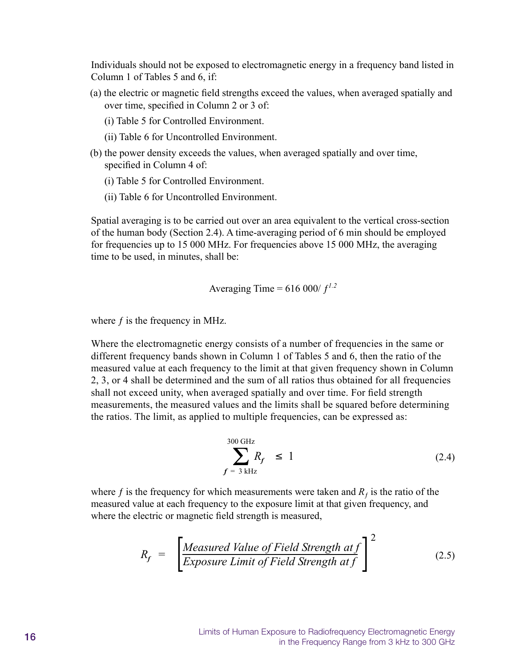Individuals should not be exposed to electromagnetic energy in a frequency band listed in Column 1 of Tables 5 and 6, if:

- (a) the electric or magnetic field strengths exceed the values, when averaged spatially and over time, specified in Column 2 or 3 of:
	- (i) Table 5 for Controlled Environment.
	- (ii) Table 6 for Uncontrolled Environment.
- (b) the power density exceeds the values, when averaged spatially and over time, specified in Column 4 of:
	- (i) Table 5 for Controlled Environment.
	- (ii) Table 6 for Uncontrolled Environment.

Spatial averaging is to be carried out over an area equivalent to the vertical cross-section of the human body (Section 2.4). A time-averaging period of 6 min should be employed for frequencies up to 15 000 MHz. For frequencies above 15 000 MHz, the averaging time to be used, in minutes, shall be:

Averageing Time = 
$$
616\,000/f^{1.2}
$$

where  $f$  is the frequency in MHz.

Where the electromagnetic energy consists of a number of frequencies in the same or different frequency bands shown in Column 1 of Tables 5 and 6, then the ratio of the measured value at each frequency to the limit at that given frequency shown in Column 2, 3, or 4 shall be determined and the sum of all ratios thus obtained for all frequencies shall not exceed unity, when averaged spatially and over time. For field strength measurements, the measured values and the limits shall be squared before determining the ratios. The limit, as applied to multiple frequencies, can be expressed as:

$$
\sum_{f=3 \text{ kHz}}^{300 \text{ GHz}} R_f \le 1 \tag{2.4}
$$

where f is the frequency for which measurements were taken and  $R<sub>f</sub>$  is the ratio of the measured value at each frequency to the exposure limit at that given frequency, and where the electric or magnetic field strength is measured,

$$
R_f = \left[ \frac{\text{Measured Value of Field Strength at } f}{\text{Exposure Limit of Field Strength at } f} \right]^2 \tag{2.5}
$$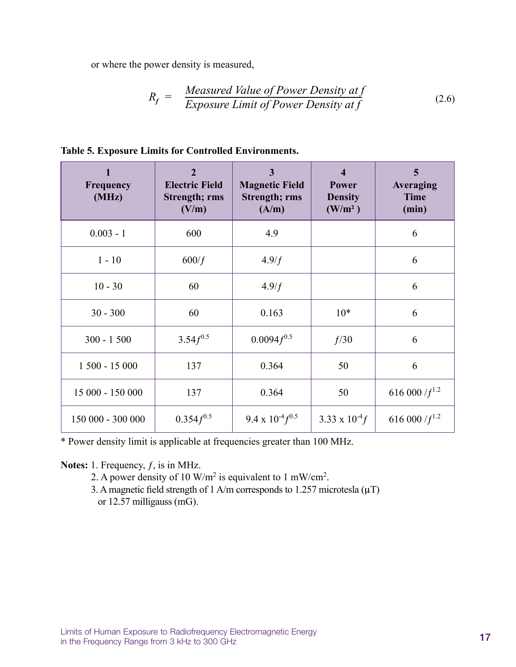or where the power density is measured,

$$
R_f = \frac{Measured Value of Power Density at f}{Expasure Limit of Power Density at f}
$$
 (2.6)

| <b>Frequency</b><br>(MHz) | $\overline{2}$<br><b>Electric Field</b><br>Strength; rms<br>(V/m) | 3<br><b>Magnetic Field</b><br><b>Strength; rms</b><br>(A/m) | $\overline{\mathbf{4}}$<br><b>Power</b><br><b>Density</b><br>(W/m <sup>2</sup> ) | 5<br>Averaging<br><b>Time</b><br>(min) |
|---------------------------|-------------------------------------------------------------------|-------------------------------------------------------------|----------------------------------------------------------------------------------|----------------------------------------|
| $0.003 - 1$               | 600                                                               | 4.9                                                         |                                                                                  | 6                                      |
| $1 - 10$                  | 600/f                                                             | 4.9/f                                                       |                                                                                  | 6                                      |
| $10 - 30$                 | 60                                                                | 4.9/f                                                       |                                                                                  | 6                                      |
| $30 - 300$                | 60                                                                | 0.163                                                       | $10*$                                                                            | 6                                      |
| $300 - 1500$              | $3.54 f^{0.5}$                                                    | $0.0094 f^{0.5}$                                            | f/30                                                                             | 6                                      |
| $1500 - 15000$            | 137                                                               | 0.364                                                       | 50                                                                               | 6                                      |

#### **Table 5. Exposure Limits for Controlled Environments.**

\* Power density limit is applicable at frequencies greater than 100 MHz.

Notes: 1. Frequency,  $f$ , is in MHz.

2. A power density of 10 W/m<sup>2</sup> is equivalent to 1 mW/cm<sup>2</sup>.

3. A magnetic field strength of 1 A/m corresponds to 1.257 microtesla  $(\mu T)$ or 12.57 milligauss (mG).

15 000 - 150 000 137 0.364 50 616 000  $/f^{1.2}$ 

150 000 - 300 000  $\begin{array}{|l|c|c|c|c|c|c|c|c|} \hline \end{array}$  0.354 $f^{0.5}$  | 9.4 x 10<sup>-4</sup> $f^{0.5}$  | 3.33 x 10<sup>-4</sup> $f$  | 616 000 / $f^{1.2}$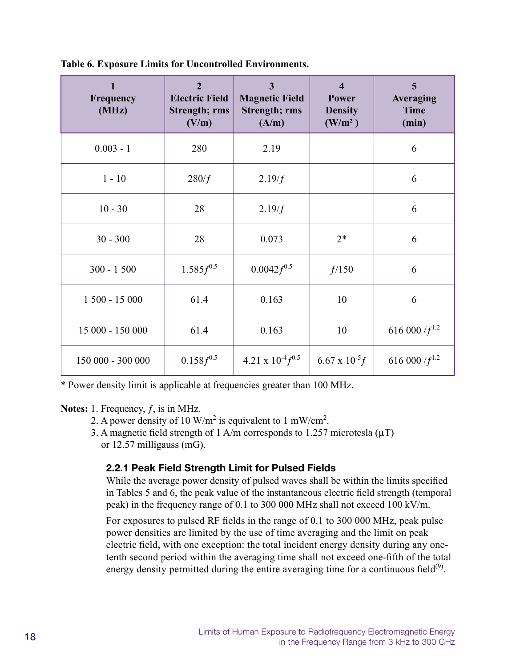| $\mathbf{1}$<br>Frequency<br>(MHz) | $\overline{2}$<br><b>Electric Field</b><br><b>Strength; rms</b><br>(V/m) | 3<br><b>Magnetic Field</b><br><b>Strength; rms</b><br>(A/m) | $\overline{\mathbf{4}}$<br><b>Power</b><br><b>Density</b><br>(W/m <sup>2</sup> ) | 5<br><b>Averaging</b><br><b>Time</b><br>(min) |
|------------------------------------|--------------------------------------------------------------------------|-------------------------------------------------------------|----------------------------------------------------------------------------------|-----------------------------------------------|
| $0.003 - 1$                        | 280                                                                      | 2.19                                                        |                                                                                  | 6                                             |
| $1 - 10$                           | 280/f                                                                    | 2.19/f                                                      |                                                                                  | 6                                             |
| $10 - 30$                          | 28                                                                       | 2.19/f                                                      |                                                                                  | 6                                             |
| $30 - 300$                         | 28                                                                       | 0.073                                                       | $2*$                                                                             | 6                                             |
| $300 - 1500$                       | $1.585 f^{0.5}$                                                          | $0.0042 f^{0.5}$                                            | f/150                                                                            | 6                                             |
| $1500 - 15000$                     | 61.4                                                                     | 0.163                                                       | 10                                                                               | 6                                             |
| 15 000 - 150 000                   | 61.4                                                                     | 0.163                                                       | 10                                                                               | 616 000 / $f^{1.2}$                           |
| 150 000 - 300 000                  | $0.158 f^{0.5}$                                                          | 4.21 x $10^{-4}f^{0.5}$                                     | $6.67 \times 10^{-5} f$                                                          | 616 000 / $f^{1.2}$                           |

**Table 6. Exposure Limits for Uncontrolled Environments.**

\* Power density limit is applicable at frequencies greater than 100 MHz.

#### **Notes:** 1. Frequency, ƒ, is in MHz.

- 2. A power density of 10 W/m<sup>2</sup> is equivalent to 1 mW/cm<sup>2</sup>.
- 3. A magnetic field strength of 1 A/m corresponds to 1.257 microtesla  $(\mu T)$ or 12.57 milligauss (mG).

#### **2.2.1 Peak Field Strength Limit for Pulsed Fields**

While the average power density of pulsed waves shall be within the limits specified in Tables 5 and 6, the peak value of the instantaneous electric field strength (temporal peak) in the frequency range of 0.1 to 300 000 MHz shall not exceed 100 kV/m.

For exposures to pulsed RF fields in the range of 0.1 to 300 000 MHz, peak pulse power densities are limited by the use of time averaging and the limit on peak electric field, with one exception: the total incident energy density during any onetenth second period within the averaging time shall not exceed one-fifth of the total energy density permitted during the entire averaging time for a continuous field $^{(9)}$ .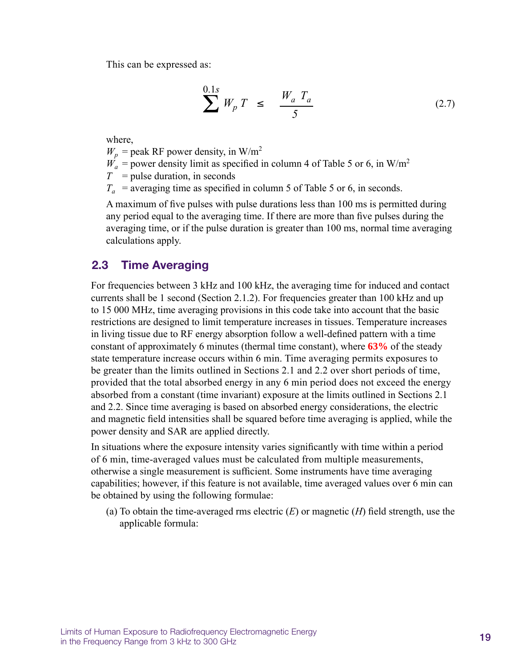This can be expressed as:

$$
\sum_{p=0}^{0.1s} W_p T \leq \frac{W_a T_a}{5} \tag{2.7}
$$

where,

 $W_p$  = peak RF power density, in W/m<sup>2</sup>

 $W_a$  = power density limit as specified in column 4 of Table 5 or 6, in W/m<sup>2</sup>

 $T =$  pulse duration, in seconds

 $T_a$  = averaging time as specified in column 5 of Table 5 or 6, in seconds.

A maximum of five pulses with pulse durations less than 100 ms is permitted during any period equal to the averaging time. If there are more than five pulses during the averaging time, or if the pulse duration is greater than 100 ms, normal time averaging calculations apply.

### **2.3 Time Averaging**

For frequencies between 3 kHz and 100 kHz, the averaging time for induced and contact currents shall be 1 second (Section 2.1.2). For frequencies greater than 100 kHz and up to 15 000 MHz, time averaging provisions in this code take into account that the basic restrictions are designed to limit temperature increases in tissues. Temperature increases in living tissue due to RF energy absorption follow a well-defined pattern with a time constant of approximately 6 minutes (thermal time constant), where **63%** of the steady state temperature increase occurs within 6 min. Time averaging permits exposures to be greater than the limits outlined in Sections 2.1 and 2.2 over short periods of time, provided that the total absorbed energy in any 6 min period does not exceed the energy absorbed from a constant (time invariant) exposure at the limits outlined in Sections 2.1 and 2.2. Since time averaging is based on absorbed energy considerations, the electric and magnetic field intensities shall be squared before time averaging is applied, while the power density and SAR are applied directly.

In situations where the exposure intensity varies significantly with time within a period of 6 min, time-averaged values must be calculated from multiple measurements, otherwise a single measurement is sufficient. Some instruments have time averaging capabilities; however, if this feature is not available, time averaged values over 6 min can be obtained by using the following formulae:

(a) To obtain the time-averaged rms electric (*E*) or magnetic (*H*) field strength, use the applicable formula: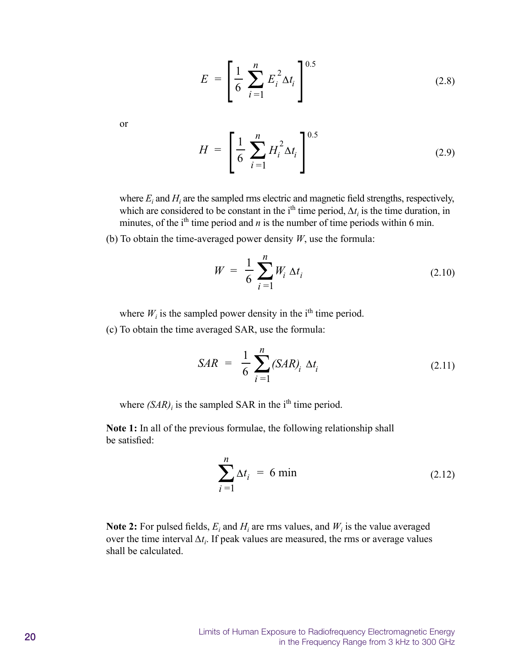$$
E = \left[\frac{1}{6} \sum_{i=1}^{n} E_i^2 \Delta t_i\right]^{0.5}
$$
 (2.8)

or

$$
H = \left[\frac{1}{6} \sum_{i=1}^{n} H_i^2 \Delta t_i\right]^{0.5}
$$
 (2.9)

where  $E_i$  and  $H_i$  are the sampled rms electric and magnetic field strengths, respectively, which are considered to be constant in the i<sup>th</sup> time period,  $\Delta t_i$  is the time duration, in minutes, of the  $i<sup>th</sup>$  time period and *n* is the number of time periods within 6 min.

(b) To obtain the time-averaged power density *W*, use the formula:

$$
W = \frac{1}{6} \sum_{i=1}^{n} W_i \, \Delta t_i \tag{2.10}
$$

where  $W_i$  is the sampled power density in the i<sup>th</sup> time period.

(c) To obtain the time averaged SAR, use the formula:

$$
SAR = \frac{1}{6} \sum_{i=1}^{n} (SAR)_{i} \Delta t_{i}
$$
 (2.11)

where  $(SAR)_i$  is the sampled SAR in the i<sup>th</sup> time period.

**Note 1:** In all of the previous formulae, the following relationship shall be satisfied:

$$
\sum_{i=1}^{n} \Delta t_i = 6 \text{ min}
$$
 (2.12)

**Note 2:** For pulsed fields,  $E_i$  and  $H_i$  are rms values, and  $W_i$  is the value averaged over the time interval *∆t<sup>i</sup>* . If peak values are measured, the rms or average values shall be calculated.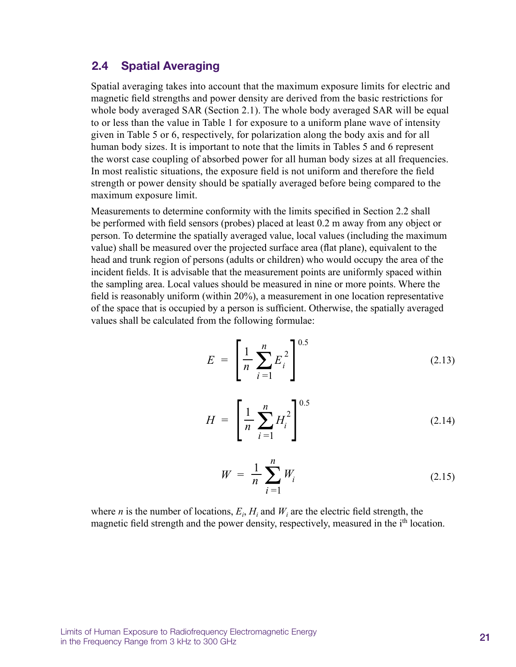#### **2.4 Spatial Averaging**

Spatial averaging takes into account that the maximum exposure limits for electric and magnetic field strengths and power density are derived from the basic restrictions for whole body averaged SAR (Section 2.1). The whole body averaged SAR will be equal to or less than the value in Table 1 for exposure to a uniform plane wave of intensity given in Table 5 or 6, respectively, for polarization along the body axis and for all human body sizes. It is important to note that the limits in Tables 5 and 6 represent the worst case coupling of absorbed power for all human body sizes at all frequencies. In most realistic situations, the exposure field is not uniform and therefore the field strength or power density should be spatially averaged before being compared to the maximum exposure limit.

Measurements to determine conformity with the limits specified in Section 2.2 shall be performed with field sensors (probes) placed at least 0.2 m away from any object or person. To determine the spatially averaged value, local values (including the maximum value) shall be measured over the projected surface area (flat plane), equivalent to the head and trunk region of persons (adults or children) who would occupy the area of the incident fields. It is advisable that the measurement points are uniformly spaced within the sampling area. Local values should be measured in nine or more points. Where the field is reasonably uniform (within 20%), a measurement in one location representative of the space that is occupied by a person is sufficient. Otherwise, the spatially averaged values shall be calculated from the following formulae:

$$
E = \left[\frac{1}{n} \sum_{i=1}^{n} E_i^2\right]^{0.5}
$$
 (2.13)

$$
H = \left[\frac{1}{n} \sum_{i=1}^{n} H_i^2\right]^{0.5}
$$
 (2.14)

$$
W = \frac{1}{n} \sum_{i=1}^{n} W_i
$$
 (2.15)

where *n* is the number of locations,  $E_i$ ,  $H_i$  and  $W_i$  are the electric field strength, the magnetic field strength and the power density, respectively, measured in the i<sup>th</sup> location.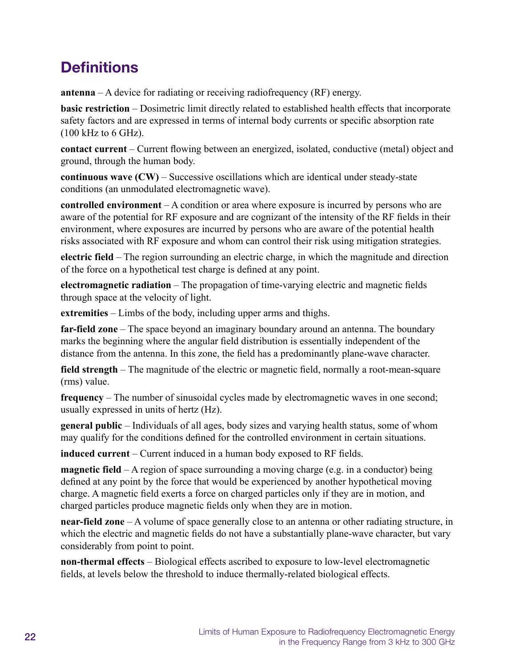# **Definitions**

**antenna** – A device for radiating or receiving radiofrequency (RF) energy.

**basic restriction** – Dosimetric limit directly related to established health effects that incorporate safety factors and are expressed in terms of internal body currents or specific absorption rate (100 kHz to 6 GHz).

**contact current** – Current flowing between an energized, isolated, conductive (metal) object and ground, through the human body.

**continuous wave (CW)** – Successive oscillations which are identical under steady-state conditions (an unmodulated electromagnetic wave).

**controlled environment** – A condition or area where exposure is incurred by persons who are aware of the potential for RF exposure and are cognizant of the intensity of the RF fields in their environment, where exposures are incurred by persons who are aware of the potential health risks associated with RF exposure and whom can control their risk using mitigation strategies.

**electric field** – The region surrounding an electric charge, in which the magnitude and direction of the force on a hypothetical test charge is defined at any point.

**electromagnetic radiation** – The propagation of time-varying electric and magnetic fields through space at the velocity of light.

**extremities** – Limbs of the body, including upper arms and thighs.

**far-field zone** – The space beyond an imaginary boundary around an antenna. The boundary marks the beginning where the angular field distribution is essentially independent of the distance from the antenna. In this zone, the field has a predominantly plane-wave character.

**field strength** – The magnitude of the electric or magnetic field, normally a root-mean-square (rms) value.

**frequency** – The number of sinusoidal cycles made by electromagnetic waves in one second; usually expressed in units of hertz (Hz).

**general public** – Individuals of all ages, body sizes and varying health status, some of whom may qualify for the conditions defined for the controlled environment in certain situations.

**induced current** – Current induced in a human body exposed to RF fields.

**magnetic field** – A region of space surrounding a moving charge (e.g. in a conductor) being defined at any point by the force that would be experienced by another hypothetical moving charge. A magnetic field exerts a force on charged particles only if they are in motion, and charged particles produce magnetic fields only when they are in motion.

**near-field zone** – A volume of space generally close to an antenna or other radiating structure, in which the electric and magnetic fields do not have a substantially plane-wave character, but vary considerably from point to point.

**non-thermal effects** – Biological effects ascribed to exposure to low-level electromagnetic fields, at levels below the threshold to induce thermally-related biological effects.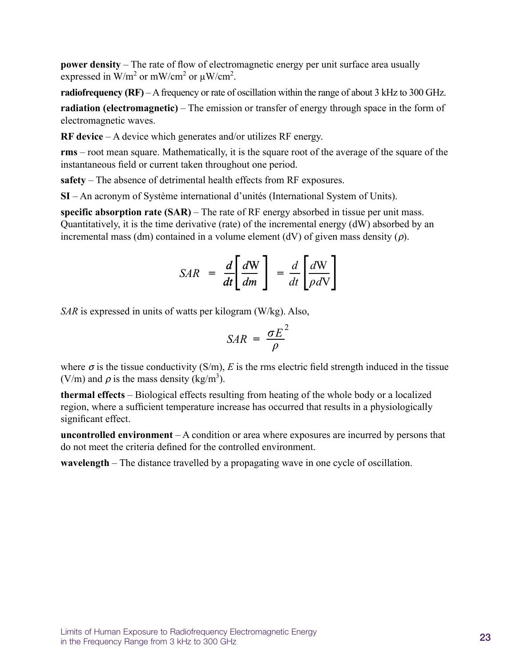**power density** – The rate of flow of electromagnetic energy per unit surface area usually expressed in W/m<sup>2</sup> or mW/cm<sup>2</sup> or  $\mu$ W/cm<sup>2</sup>.

**radiofrequency (RF)** – A frequency or rate of oscillation within the range of about 3 kHz to 300 GHz.

**radiation (electromagnetic)** – The emission or transfer of energy through space in the form of electromagnetic waves.

**RF device** – A device which generates and/or utilizes RF energy.

**rms** – root mean square. Mathematically, it is the square root of the average of the square of the instantaneous field or current taken throughout one period.

**safety** – The absence of detrimental health effects from RF exposures.

**SI** – An acronym of Système international d'unités (International System of Units).

**specific absorption rate (SAR)** – The rate of RF energy absorbed in tissue per unit mass. Quantitatively, it is the time derivative (rate) of the incremental energy (dW) absorbed by an incremental mass (dm) contained in a volume element (dV) of given mass density  $(\rho)$ .

$$
SAR = \frac{d}{dt} \left[ \frac{dW}{dm} \right] = \frac{d}{dt} \left[ \frac{dW}{\rho dV} \right]
$$

*SAR* is expressed in units of watts per kilogram (W/kg). Also,

$$
SAR = \frac{\sigma E^2}{\rho}
$$

where  $\sigma$  is the tissue conductivity (S/m), *E* is the rms electric field strength induced in the tissue (V/m) and  $\rho$  is the mass density (kg/m<sup>3</sup>).

**thermal effects** – Biological effects resulting from heating of the whole body or a localized region, where a sufficient temperature increase has occurred that results in a physiologically significant effect.

**uncontrolled environment** – A condition or area where exposures are incurred by persons that do not meet the criteria defined for the controlled environment.

**wavelength** – The distance travelled by a propagating wave in one cycle of oscillation.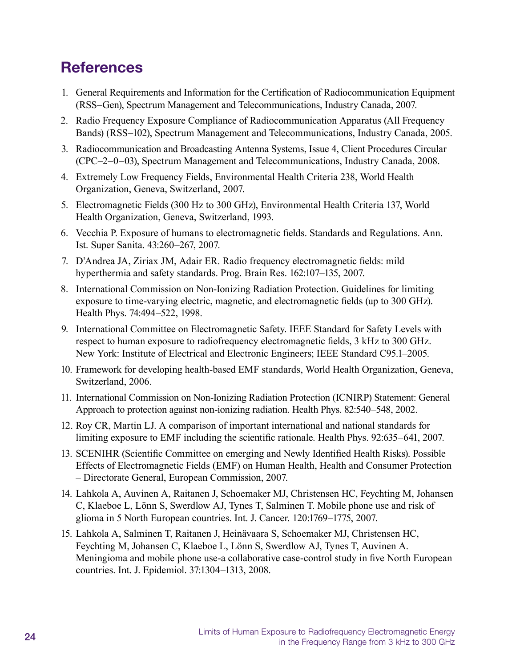## **References**

- 1. General Requirements and Information for the Certification of Radiocommunication Equipment (RSS–Gen), Spectrum Management and Telecommunications, Industry Canada, 2007.
- 2. Radio Frequency Exposure Compliance of Radiocommunication Apparatus (All Frequency Bands) (RSS–102), Spectrum Management and Telecommunications, Industry Canada, 2005.
- 3. Radiocommunication and Broadcasting Antenna Systems, Issue 4, Client Procedures Circular (CPC–2–0–03), Spectrum Management and Telecommunications, Industry Canada, 2008.
- 4. Extremely Low Frequency Fields, Environmental Health Criteria 238, World Health Organization, Geneva, Switzerland, 2007.
- 5. Electromagnetic Fields (300 Hz to 300 GHz), Environmental Health Criteria 137, World Health Organization, Geneva, Switzerland, 1993.
- 6. Vecchia P. Exposure of humans to electromagnetic fields. Standards and Regulations. Ann. Ist. Super Sanita. 43:260–267, 2007.
- 7. D'Andrea JA, Ziriax JM, Adair ER. Radio frequency electromagnetic fields: mild hyperthermia and safety standards. Prog. Brain Res. 162:107–135, 2007.
- 8. International Commission on Non-Ionizing Radiation Protection. Guidelines for limiting exposure to time-varying electric, magnetic, and electromagnetic fields (up to 300 GHz). Health Phys. 74:494–522, 1998.
- 9. International Committee on Electromagnetic Safety. IEEE Standard for Safety Levels with respect to human exposure to radiofrequency electromagnetic fields, 3 kHz to 300 GHz. New York: Institute of Electrical and Electronic Engineers; IEEE Standard C95.1–2005.
- 10. Framework for developing health-based EMF standards, World Health Organization, Geneva, Switzerland, 2006.
- 11. International Commission on Non-Ionizing Radiation Protection (ICNIRP) Statement: General Approach to protection against non-ionizing radiation. Health Phys. 82:540–548, 2002.
- 12. Roy CR, Martin LJ. A comparison of important international and national standards for limiting exposure to EMF including the scientific rationale. Health Phys. 92:635–641, 2007.
- 13. SCENIHR (Scientific Committee on emerging and Newly Identified Health Risks). Possible Effects of Electromagnetic Fields (EMF) on Human Health, Health and Consumer Protection – Directorate General, European Commission, 2007.
- 14. Lahkola A, Auvinen A, Raitanen J, Schoemaker MJ, Christensen HC, Feychting M, Johansen C, Klaeboe L, Lönn S, Swerdlow AJ, Tynes T, Salminen T. Mobile phone use and risk of glioma in 5 North European countries. Int. J. Cancer. 120:1769–1775, 2007.
- 15. Lahkola A, Salminen T, Raitanen J, Heinävaara S, Schoemaker MJ, Christensen HC, Feychting M, Johansen C, Klaeboe L, Lönn S, Swerdlow AJ, Tynes T, Auvinen A. Meningioma and mobile phone use-a collaborative case-control study in five North European countries. Int. J. Epidemiol. 37:1304–1313, 2008.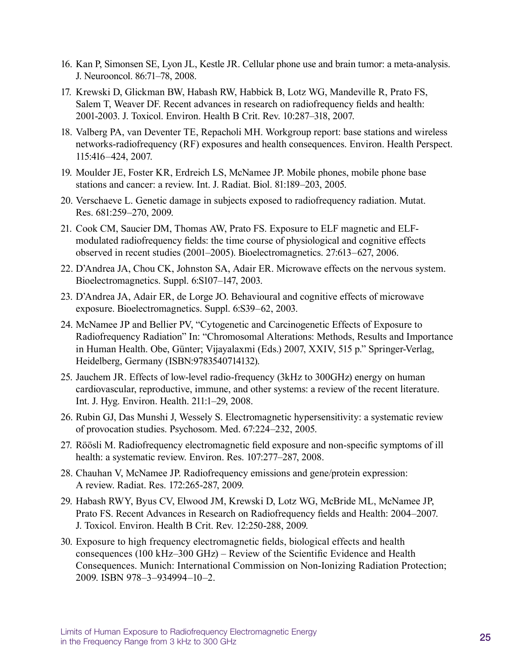- 16. Kan P, Simonsen SE, Lyon JL, Kestle JR. Cellular phone use and brain tumor: a meta-analysis. J. Neurooncol. 86:71–78, 2008.
- 17. Krewski D, Glickman BW, Habash RW, Habbick B, Lotz WG, Mandeville R, Prato FS, Salem T, Weaver DF. Recent advances in research on radiofrequency fields and health: 2001-2003. J. Toxicol. Environ. Health B Crit. Rev. 10:287–318, 2007.
- 18. Valberg PA, van Deventer TE, Repacholi MH. Workgroup report: base stations and wireless networks-radiofrequency (RF) exposures and health consequences. Environ. Health Perspect. 115:416–424, 2007.
- 19. Moulder JE, Foster KR, Erdreich LS, McNamee JP. Mobile phones, mobile phone base stations and cancer: a review. Int. J. Radiat. Biol. 81:189–203, 2005.
- 20. Verschaeve L. Genetic damage in subjects exposed to radiofrequency radiation. Mutat. Res. 681:259–270, 2009.
- 21. Cook CM, Saucier DM, Thomas AW, Prato FS. Exposure to ELF magnetic and ELFmodulated radiofrequency fields: the time course of physiological and cognitive effects observed in recent studies (2001–2005). Bioelectromagnetics. 27:613–627, 2006.
- 22. D'Andrea JA, Chou CK, Johnston SA, Adair ER. Microwave effects on the nervous system. Bioelectromagnetics. Suppl. 6:S107–147, 2003.
- 23. D'Andrea JA, Adair ER, de Lorge JO. Behavioural and cognitive effects of microwave exposure. Bioelectromagnetics. Suppl. 6:S39–62, 2003.
- 24. McNamee JP and Bellier PV, "Cytogenetic and Carcinogenetic Effects of Exposure to Radiofrequency Radiation" In: "Chromosomal Alterations: Methods, Results and Importance in Human Health. Obe, Günter; Vijayalaxmi (Eds.) 2007, XXIV, 515 p." Springer-Verlag, Heidelberg, Germany (ISBN:9783540714132).
- 25. Jauchem JR. Effects of low-level radio-frequency (3kHz to 300GHz) energy on human cardiovascular, reproductive, immune, and other systems: a review of the recent literature. Int. J. Hyg. Environ. Health. 211:1–29, 2008.
- 26. Rubin GJ, Das Munshi J, Wessely S. Electromagnetic hypersensitivity: a systematic review of provocation studies. Psychosom. Med. 67:224–232, 2005.
- 27. Röösli M. Radiofrequency electromagnetic field exposure and non-specific symptoms of ill health: a systematic review. Environ. Res. 107:277–287, 2008.
- 28. Chauhan V, McNamee JP. Radiofrequency emissions and gene/protein expression: A review. Radiat. Res. 172:265-287, 2009.
- 29. Habash RWY, Byus CV, Elwood JM, Krewski D, Lotz WG, McBride ML, McNamee JP, Prato FS. Recent Advances in Research on Radiofrequency fields and Health: 2004–2007. J. Toxicol. Environ. Health B Crit. Rev. 12:250-288, 2009.
- 30. Exposure to high frequency electromagnetic fields, biological effects and health consequences (100 kHz–300 GHz) – Review of the Scientific Evidence and Health Consequences. Munich: International Commission on Non-Ionizing Radiation Protection; 2009. ISBN 978–3–934994–10–2.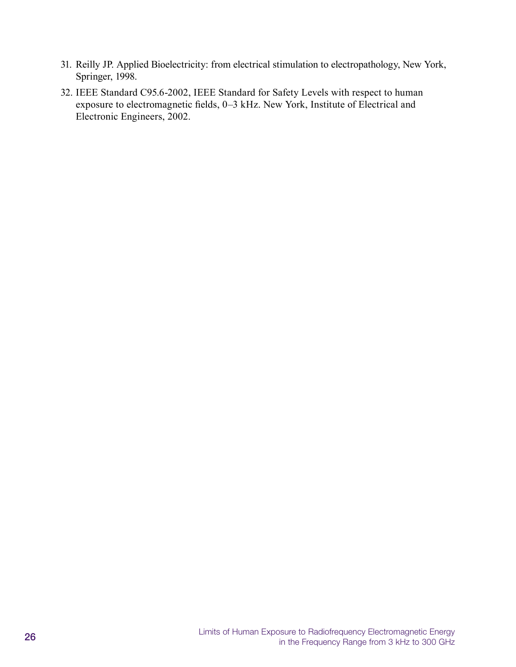- 31. Reilly JP. Applied Bioelectricity: from electrical stimulation to electropathology, New York, Springer, 1998.
- 32. IEEE Standard C95.6-2002, IEEE Standard for Safety Levels with respect to human exposure to electromagnetic fields, 0–3 kHz. New York, Institute of Electrical and Electronic Engineers, 2002.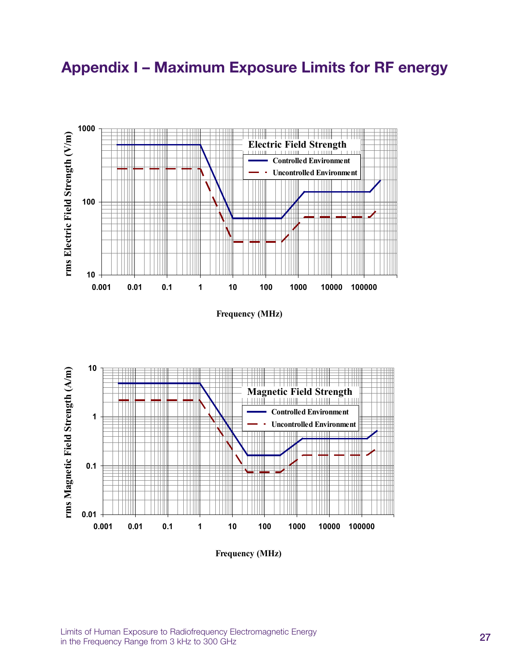



**Frequency (MHz)**



**Frequency (MHz)**